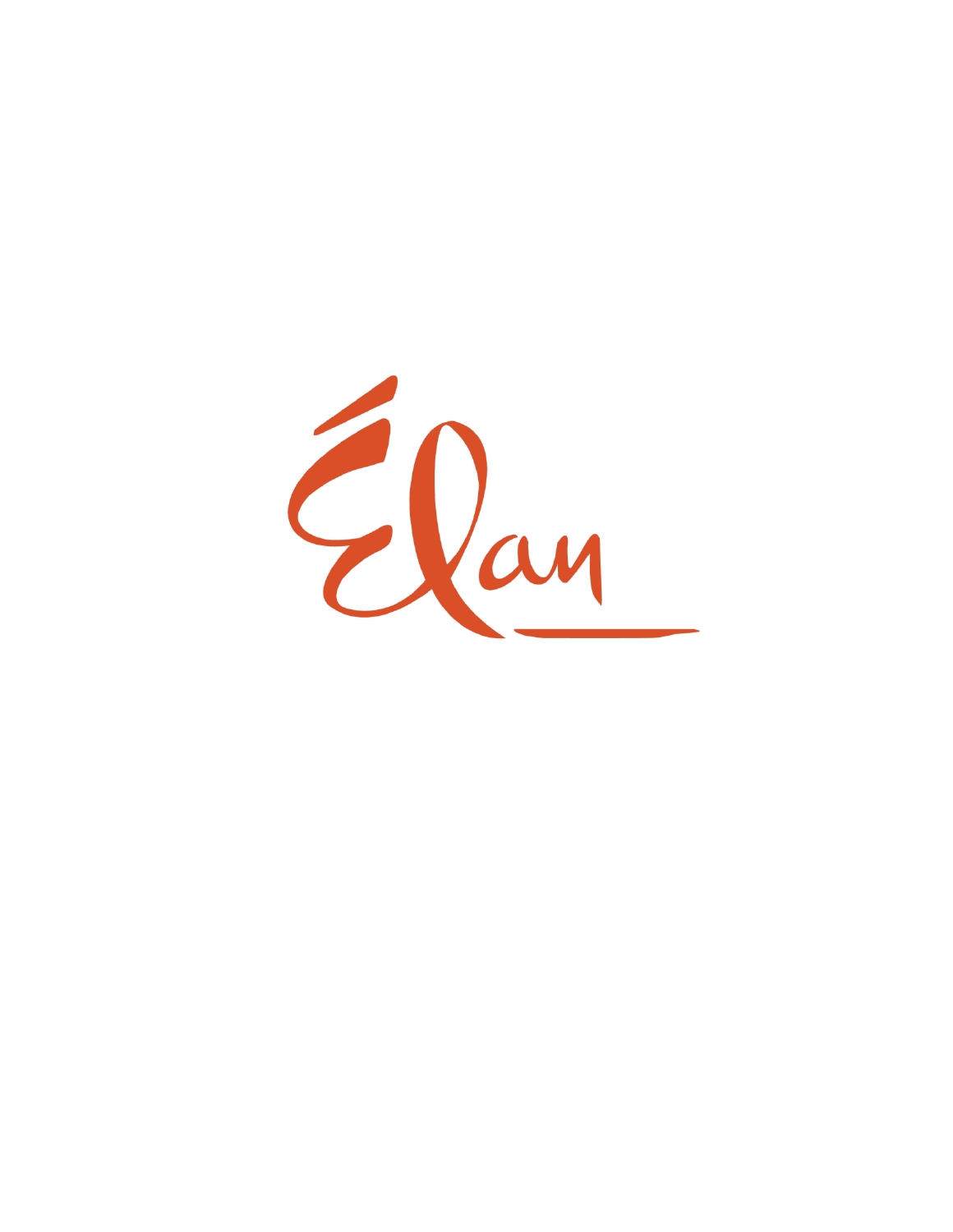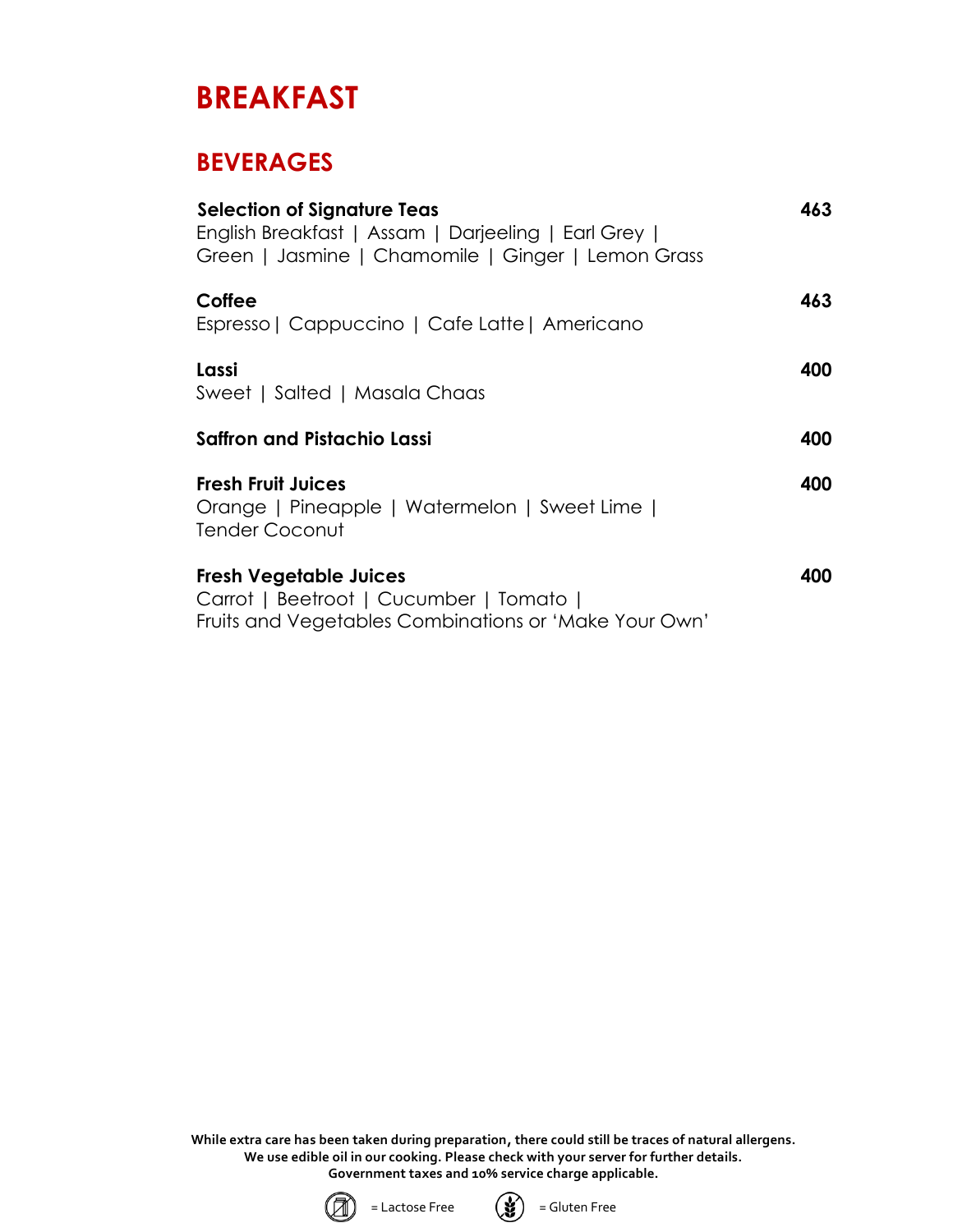## **BREAKFAST**

## **BEVERAGES**

| <b>Selection of Signature Teas</b><br>English Breakfast   Assam   Darjeeling   Earl Grey  <br>Green   Jasmine   Chamomile   Ginger   Lemon Grass | 463 |
|--------------------------------------------------------------------------------------------------------------------------------------------------|-----|
| Coffee<br>Espresso   Cappuccino   Cafe Latte   Americano                                                                                         | 463 |
| Lassi<br>Sweet   Salted   Masala Chaas                                                                                                           | 400 |
| <b>Saffron and Pistachio Lassi</b>                                                                                                               | 400 |
| <b>Fresh Fruit Juices</b><br>Orange   Pineapple   Watermelon   Sweet Lime  <br>Tender Coconut                                                    | 400 |
| <b>Fresh Vegetable Juices</b><br>Carrot   Beetroot   Cucumber   Tomato  <br>Fruits and Vegetables Combinations or 'Make Your Own'                | 400 |



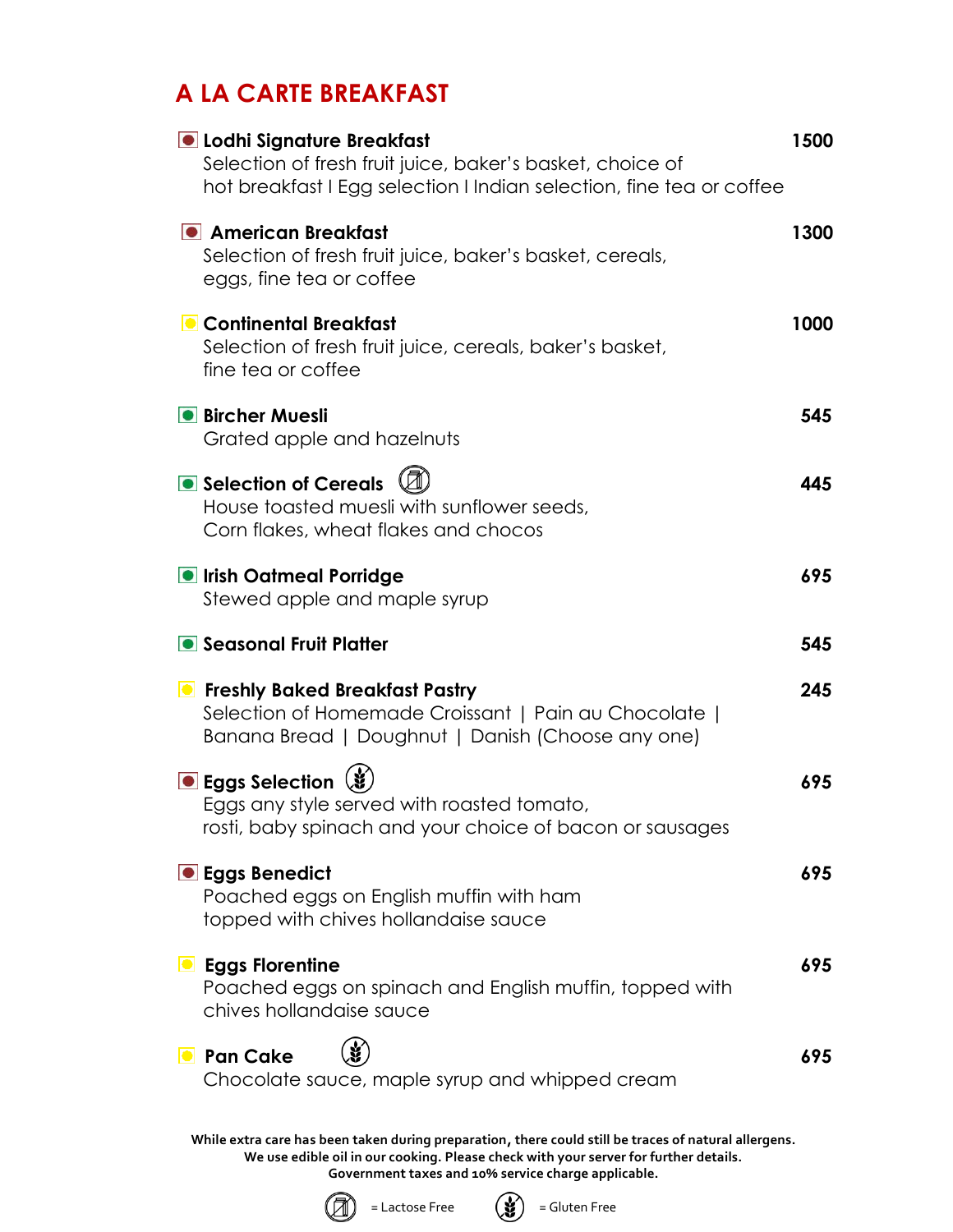## **A LA CARTE BREAKFAST**

| <b>O</b> Lodhi Signature Breakfast<br>Selection of fresh fruit juice, baker's basket, choice of<br>hot breakfast I Egg selection I Indian selection, fine tea or coffee | 1500 |
|-------------------------------------------------------------------------------------------------------------------------------------------------------------------------|------|
| • American Breakfast<br>Selection of fresh fruit juice, baker's basket, cereals,<br>eggs, fine tea or coffee                                                            | 1300 |
| Continental Breakfast<br>Selection of fresh fruit juice, cereals, baker's basket,<br>fine tea or coffee                                                                 | 1000 |
| <b>• Bircher Muesli</b><br>Grated apple and hazelnuts                                                                                                                   | 545  |
| Selection of Cereals<br>House toasted muesli with sunflower seeds,<br>Corn flakes, wheat flakes and chocos                                                              | 445  |
| <b>O</b> Irish Oatmeal Porridge<br>Stewed apple and maple syrup                                                                                                         | 695  |
| • Seasonal Fruit Platter                                                                                                                                                | 545  |
| <b>Example 2 Finally Baked Breakfast Pastry</b><br>Selection of Homemade Croissant   Pain au Chocolate  <br>Banana Bread   Doughnut   Danish (Choose any one)           | 245  |
| ● Eggs Selection (3)<br>Eggs any style served with roasted tomato,<br>rosti, baby spinach and your choice of bacon or sausages                                          | 695  |
| <b>• Eggs Benedict</b><br>Poached eggs on English muffin with ham<br>topped with chives hollandaise sauce                                                               | 695  |
| <b>D</b> Eggs Florentine<br>Poached eggs on spinach and English muffin, topped with<br>chives hollandaise sauce                                                         | 695  |
| <b>O</b> Pan Cake<br>Chocolate sauce, maple syrup and whipped cream                                                                                                     | 695  |
| While extra care has been taken during preparation, there could still be traces of natural allergens.                                                                   |      |



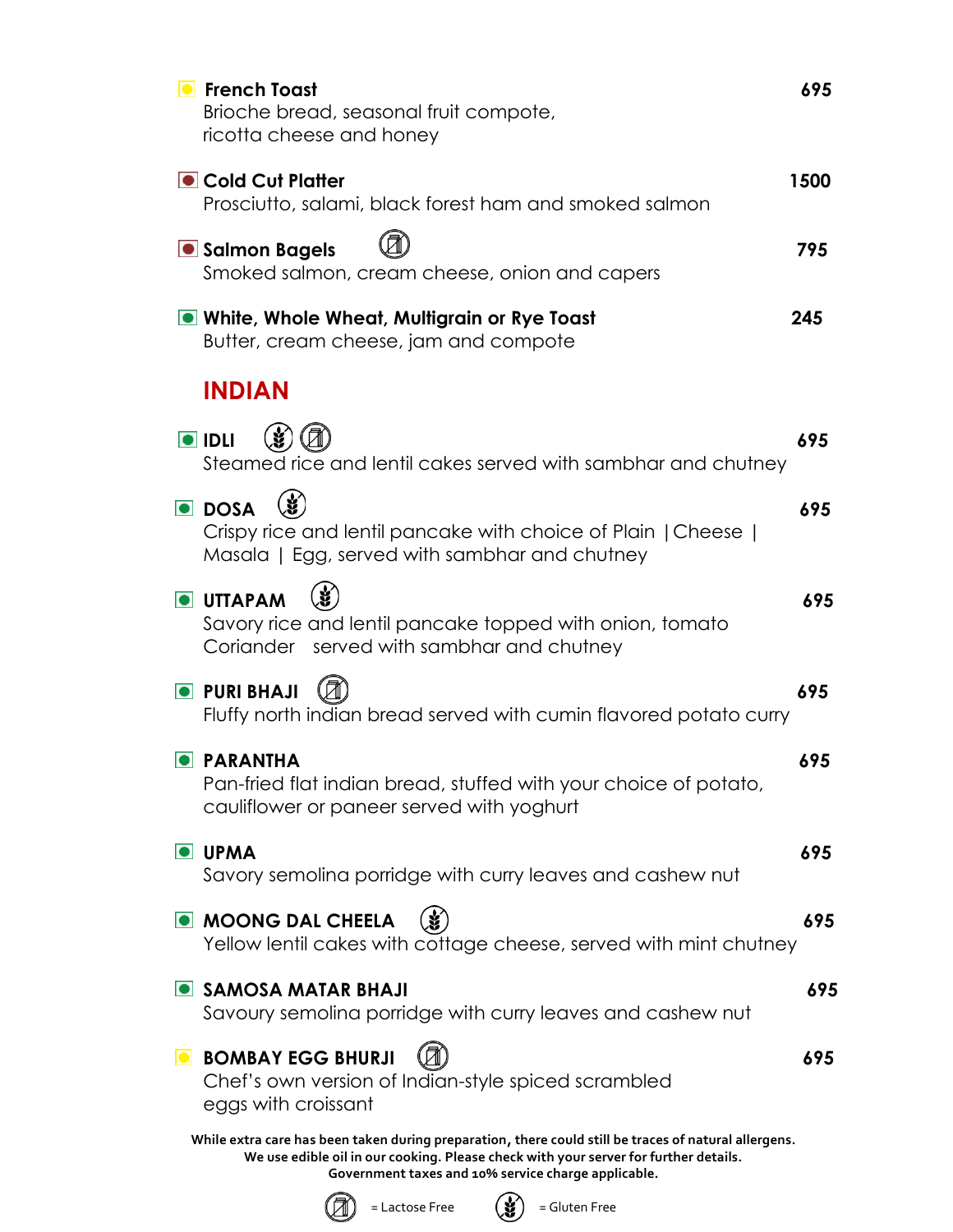| <b>•</b> French Toast<br>Brioche bread, seasonal fruit compote,<br>ricotta cheese and honey                                                                                                                                                          | 695  |
|------------------------------------------------------------------------------------------------------------------------------------------------------------------------------------------------------------------------------------------------------|------|
| Cold Cut Platter<br>Prosciutto, salami, black forest ham and smoked salmon                                                                                                                                                                           | 1500 |
| Salmon Bagels<br>Smoked salmon, cream cheese, onion and capers                                                                                                                                                                                       | 795  |
| <b>O</b> White, Whole Wheat, Multigrain or Rye Toast<br>Butter, cream cheese, jam and compote                                                                                                                                                        | 245  |
| <b>INDIAN</b>                                                                                                                                                                                                                                        |      |
| $\blacksquare$ IDLI<br>Steamed rice and lentil cakes served with sambhar and chutney                                                                                                                                                                 | 695  |
| <b>DOSA</b><br>Crispy rice and lentil pancake with choice of Plain   Cheese  <br>Masala   Egg, served with sambhar and chutney                                                                                                                       | 695  |
| <b>O</b> UTTAPAM<br>Savory rice and lentil pancake topped with onion, tomato<br>Coriander served with sambhar and chutney                                                                                                                            | 695  |
| <b>O</b> PURI BHAJI<br>Fluffy north indian bread served with cumin flavored potato curry                                                                                                                                                             | 695  |
| <b>PARANTHA</b><br>Pan-fried flat indian bread, stuffed with your choice of potato,<br>cauliflower or paneer served with yoghurt                                                                                                                     | 695  |
| <b>O</b> UPMA<br>Savory semolina porridge with curry leaves and cashew nut                                                                                                                                                                           | 695  |
| <b>OMOONG DAL CHEELA</b><br>Yellow lentil cakes with cottage cheese, served with mint chutney                                                                                                                                                        | 695  |
| SAMOSA MATAR BHAJI<br>Savoury semolina porridge with curry leaves and cashew nut                                                                                                                                                                     | 695  |
| <b>BOMBAY EGG BHURJI</b><br>$\bullet$<br>Chef's own version of Indian-style spiced scrambled<br>eggs with croissant                                                                                                                                  | 695  |
| While extra care has been taken during preparation, there could still be traces of natural allergens.<br>We use edible oil in our cooking. Please check with your server for further details.<br>Government taxes and 10% service charge applicable. |      |



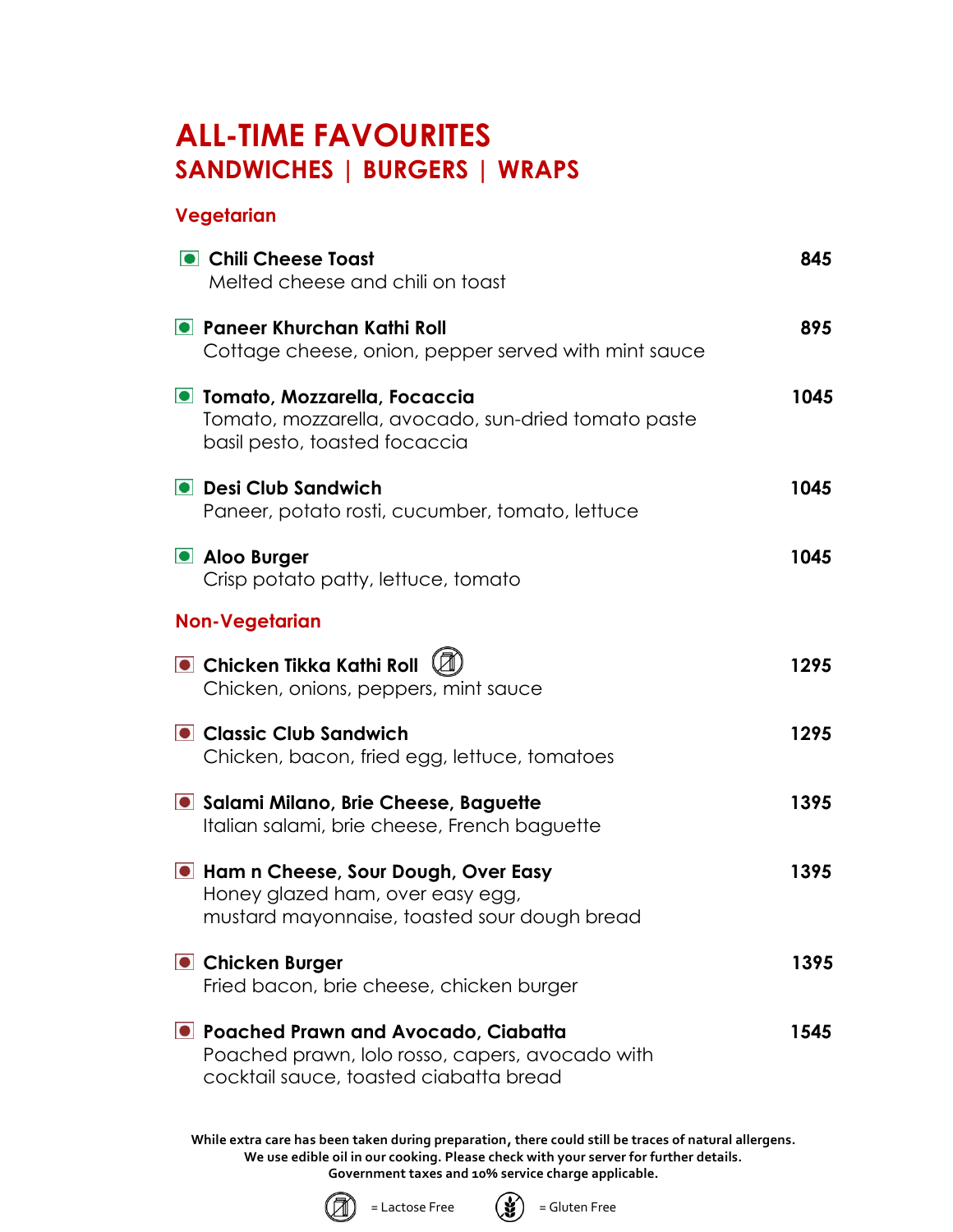## **ALL-TIME FAVOURITES SANDWICHES | BURGERS | WRAPS**

#### **Vegetarian**

| • Chili Cheese Toast<br>Melted cheese and chili on toast                                                                           | 845  |
|------------------------------------------------------------------------------------------------------------------------------------|------|
| • Paneer Khurchan Kathi Roll<br>Cottage cheese, onion, pepper served with mint sauce                                               | 895  |
| O Tomato, Mozzarella, Focaccia<br>Tomato, mozzarella, avocado, sun-dried tomato paste<br>basil pesto, toasted focaccia             | 1045 |
| <b>O</b> Desi Club Sandwich<br>Paneer, potato rosti, cucumber, tomato, lettuce                                                     | 1045 |
| • Aloo Burger<br>Crisp potato patty, lettuce, tomato                                                                               | 1045 |
| <b>Non-Vegetarian</b>                                                                                                              |      |
| $\bullet$ Chicken Tikka Kathi Roll $\mathbb Q$<br>Chicken, onions, peppers, mint sauce                                             | 1295 |
| Classic Club Sandwich<br>Chicken, bacon, fried egg, lettuce, tomatoes                                                              | 1295 |
| Salami Milano, Brie Cheese, Baguette<br>Italian salami, brie cheese, French baguette                                               | 1395 |
| I Ham n Cheese, Sour Dough, Over Easy<br>Honey glazed ham, over easy egg,<br>mustard mayonnaise, toasted sour dough bread          | 1395 |
| • Chicken Burger<br>Fried bacon, brie cheese, chicken burger                                                                       | 1395 |
| ■ Poached Prawn and Avocado, Ciabatta<br>Poached prawn, lolo rosso, capers, avocado with<br>cocktail sauce, toasted ciabatta bread | 1545 |



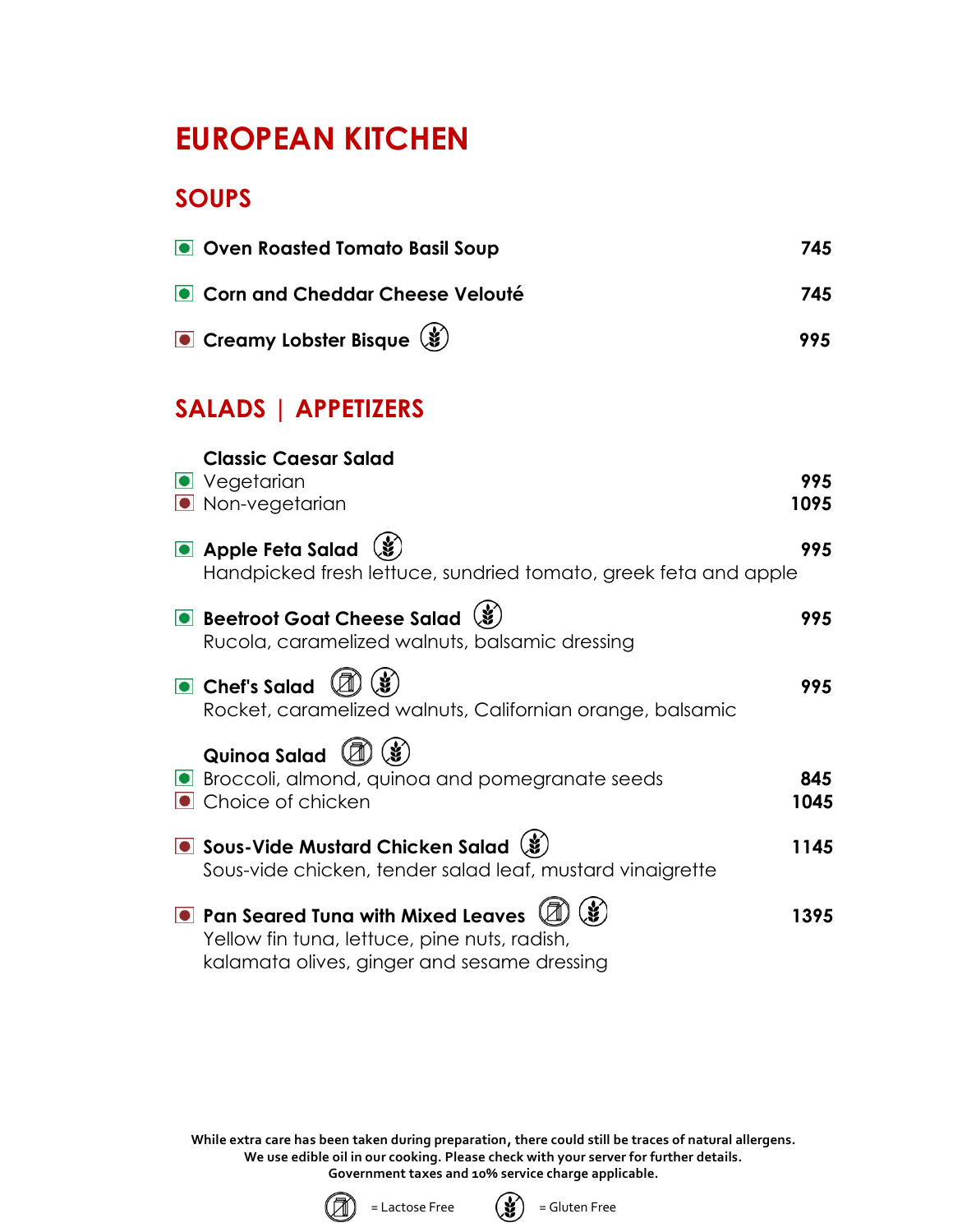## **EUROPEAN KITCHEN**

## **SOUPS**

| Oven Roasted Tomato Basil Soup                                                                                                            | 745         |
|-------------------------------------------------------------------------------------------------------------------------------------------|-------------|
| • Corn and Cheddar Cheese Velouté                                                                                                         | 745         |
| Creamy Lobster Bisque (\$                                                                                                                 | 995         |
| <b>SALADS   APPETIZERS</b>                                                                                                                |             |
| <b>Classic Caesar Salad</b><br><b>O</b> Vegetarian<br>• Non-vegetarian                                                                    | 995<br>1095 |
| • Apple Feta Salad<br>Handpicked fresh lettuce, sundried tomato, greek feta and apple                                                     | 995         |
| Beetroot Goat Cheese Salad (\$)<br>Rucola, caramelized walnuts, balsamic dressing                                                         | 995         |
| Chef's Salad<br>Rocket, caramelized walnuts, Californian orange, balsamic                                                                 | 995         |
| Quinoa Salad<br>Broccoli, almond, quinoa and pomegranate seeds<br>• Choice of chicken                                                     | 845<br>1045 |
| Sous-Vide Mustard Chicken Salad (\$)<br>Sous-vide chicken, tender salad leaf, mustard vinaigrette                                         | 1145        |
| <b>• Pan Seared Tuna with Mixed Leaves</b><br>Yellow fin tuna, lettuce, pine nuts, radish,<br>kalamata olives, ginger and sesame dressing | 1395        |



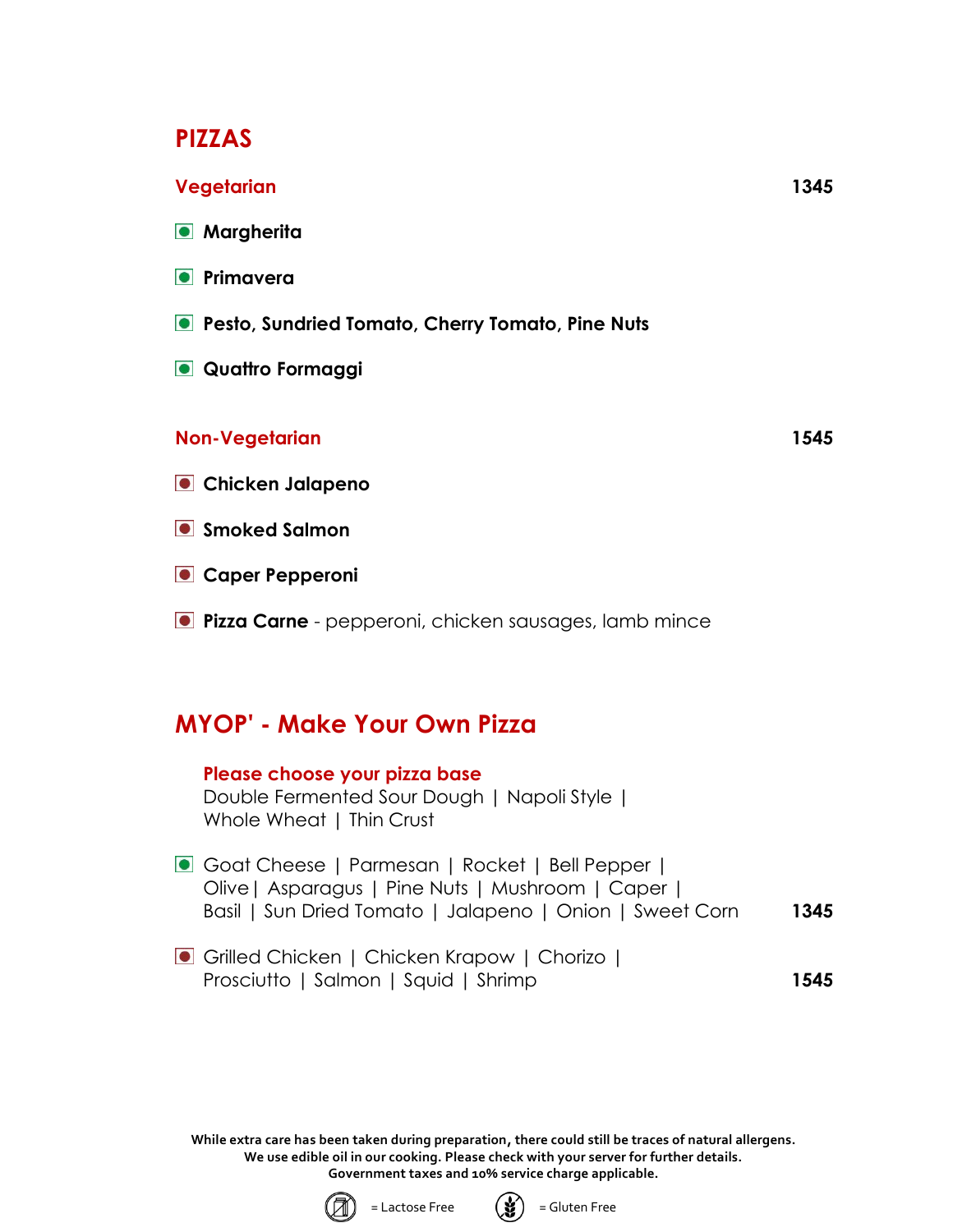### **PIZZAS**

#### **Vegetarian 1345**

- **Margherita**
- **Primavera**
- **Pesto, Sundried Tomato, Cherry Tomato, Pine Nuts**
- **Quattro Formaggi**

#### **Non-Vegetarian 1545**

- **Chicken Jalapeno**
- **Smoked Salmon**
- **Caper Pepperoni**
- **Pizza Carne** pepperoni, chicken sausages, lamb mince

## **MYOP' - Make Your Own Pizza**

#### **Please choose your pizza base**

Double Fermented Sour Dough | Napoli Style | Whole Wheat | Thin Crust

- Goat Cheese | Parmesan | Rocket | Bell Pepper | Olive| Asparagus | Pine Nuts | Mushroom | Caper | Basil | Sun Dried Tomato | Jalapeno | Onion | Sweet Corn **1345**
- Grilled Chicken | Chicken Krapow | Chorizo | Prosciutto | Salmon | Squid | Shrimp **1545**



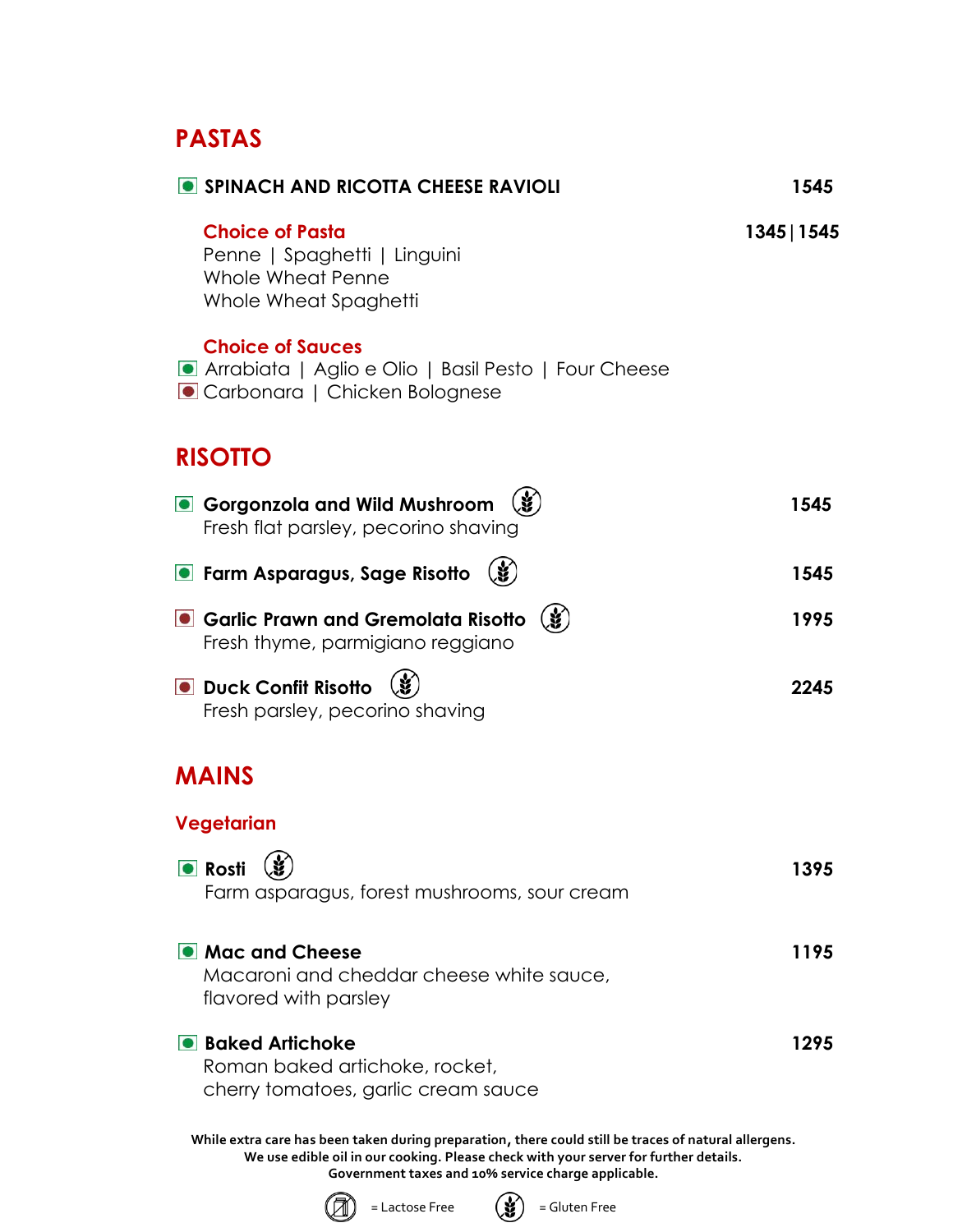## **PASTAS**

| • SPINACH AND RICOTTA CHEESE RAVIOLI                                                                             | 1545        |
|------------------------------------------------------------------------------------------------------------------|-------------|
| <b>Choice of Pasta</b><br>Penne   Spaghetti   Linguini<br>Whole Wheat Penne<br>Whole Wheat Spaghetti             | 1345   1545 |
| <b>Choice of Sauces</b><br>Arrabiata   Aglio e Olio   Basil Pesto   Four Cheese<br>Carbonara   Chicken Bolognese |             |
| <b>RISOTTO</b>                                                                                                   |             |
| Gorgonzola and Wild Mushroom<br>Fresh flat parsley, pecorino shaving                                             | 1545        |
| $\mathbf{G}$<br><b>•</b> Farm Asparagus, Sage Risotto                                                            | 1545        |
| $\mathbf{G}$<br>Garlic Prawn and Gremolata Risotto<br>Fresh thyme, parmigiano reggiano                           | 1995        |
| <b>ODUCK Confit Risotto</b><br>Fresh parsley, pecorino shaving                                                   | 2245        |
| <b>MAINS</b>                                                                                                     |             |
| Vegetarian                                                                                                       |             |
| <b>•</b> Rosti $(\mathbf{\check{g}})$<br>Farm asparagus, forest mushrooms, sour cream                            | 1395        |
| • Mac and Cheese<br>Macaroni and cheddar cheese white sauce,<br>flavored with parsley                            | 1195        |
| <b>Baked Artichoke</b><br>Roman baked artichoke, rocket,<br>cherry tomatoes, garlic cream sauce                  | 1295        |



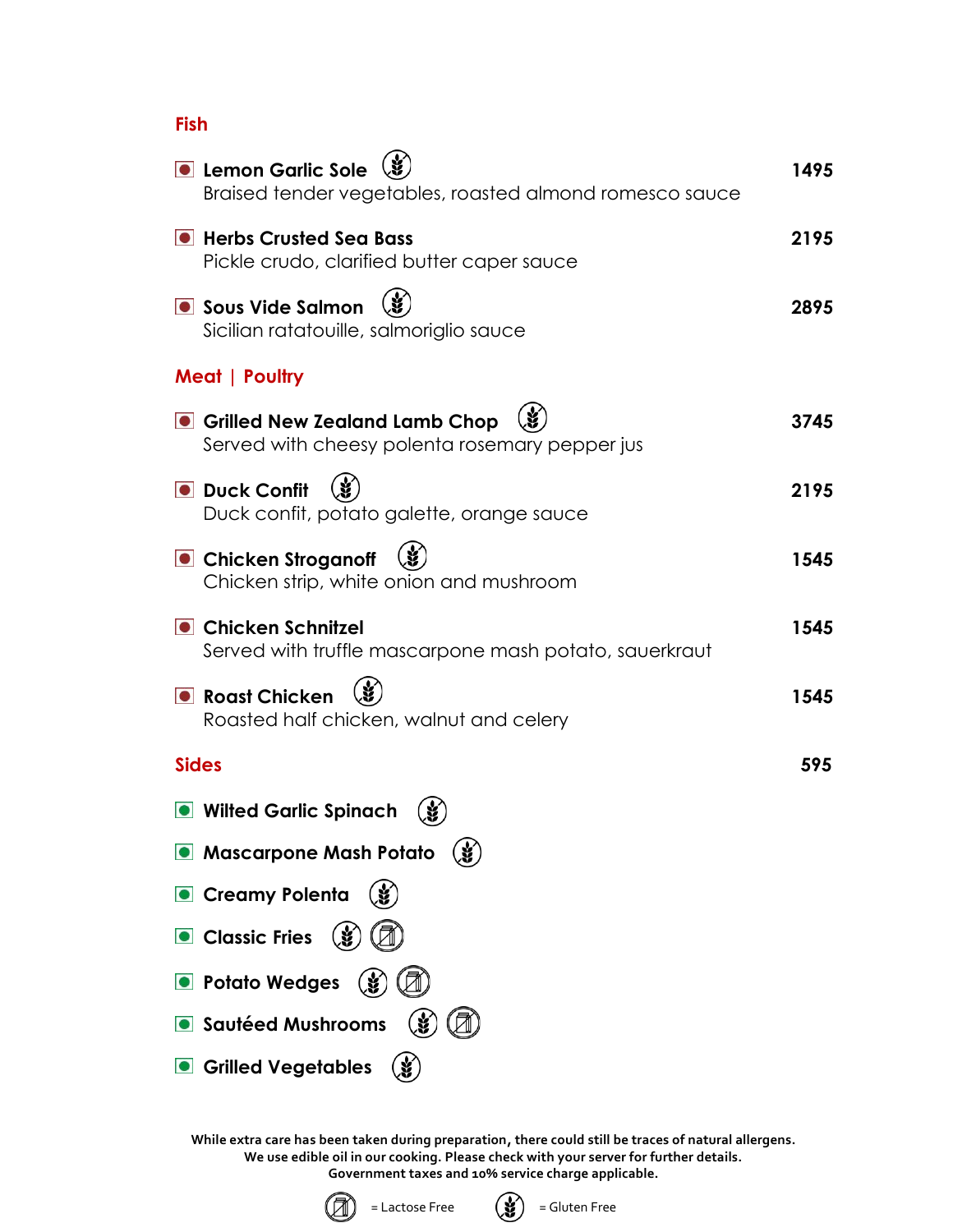**Fish**

| <b>C</b> Lemon Garlic Sole<br>Braised tender vegetables, roasted almond romesco sauce | 1495 |
|---------------------------------------------------------------------------------------|------|
| <b>• Herbs Crusted Sea Bass</b><br>Pickle crudo, clarified butter caper sauce         | 2195 |
| Sous Vide Salmon<br>Sicilian ratatouille, salmoriglio sauce                           | 2895 |
| Meat   Poultry                                                                        |      |
| Grilled New Zealand Lamb Chop<br>Served with cheesy polenta rosemary pepper jus       | 3745 |
| <b>O</b> Duck Confit<br>Duck confit, potato galette, orange sauce                     | 2195 |
| <b>• Chicken Stroganoff</b><br>Chicken strip, white onion and mushroom                | 1545 |
| <b>• Chicken Schnitzel</b><br>Served with truffle mascarpone mash potato, sauerkraut  | 1545 |
| <b>O</b> Roast Chicken<br>Roasted half chicken, walnut and celery                     | 1545 |
| <b>Sides</b>                                                                          | 595  |
| <b>O</b> Wilted Garlic Spinach                                                        |      |
| <b>.</b> Mascarpone Mash Potato<br>Œ                                                  |      |
| <b>Creamy Polenta</b>                                                                 |      |
| <b>Classic Fries</b>                                                                  |      |
| • Potato Wedges                                                                       |      |
| Sautéed Mushrooms                                                                     |      |
| <b>Grilled Vegetables</b>                                                             |      |



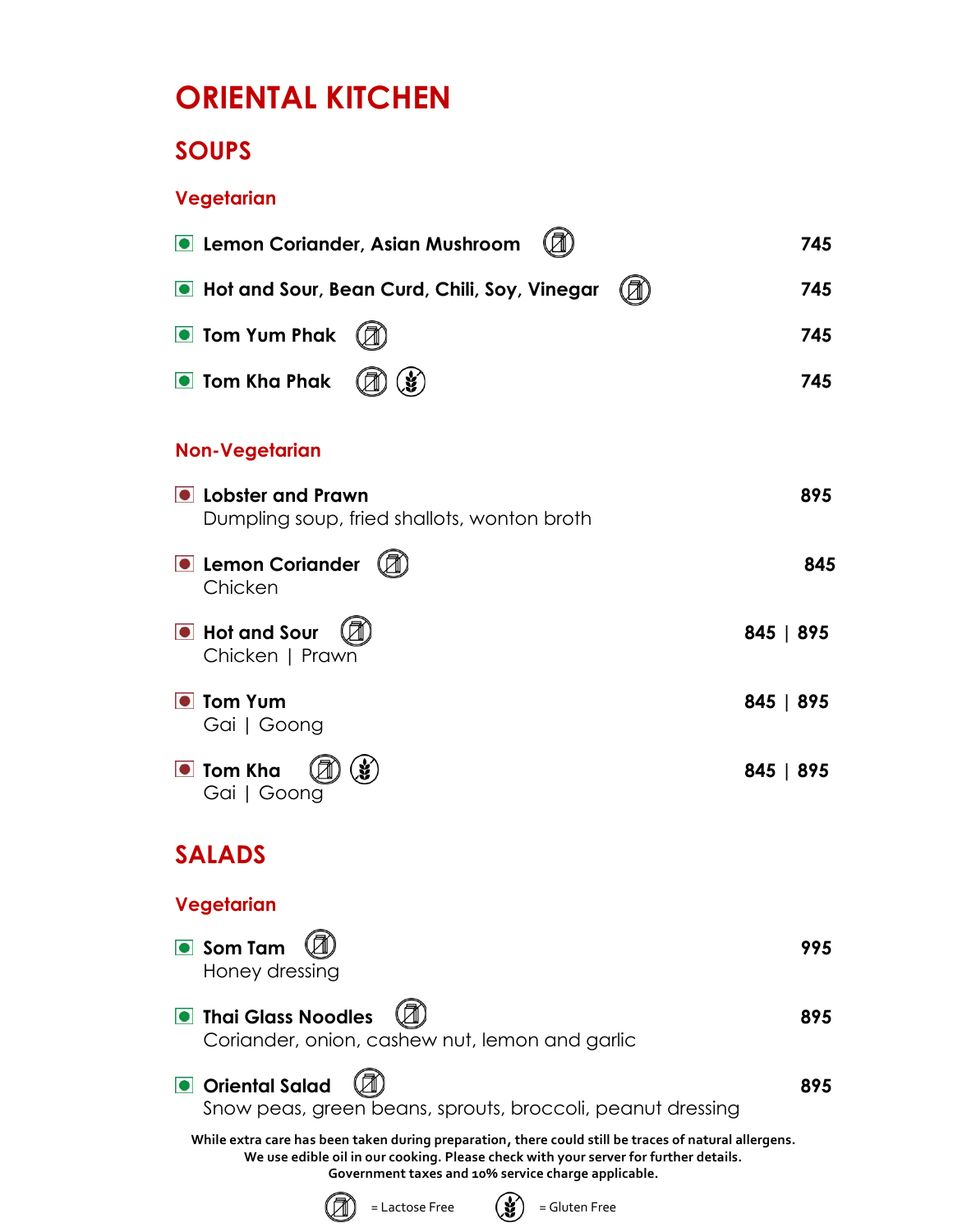## **ORIENTAL KITCHEN**

## **SOUPS**

### **Vegetarian**

| <b>O</b> Lemon Coriander, Asian Mushroom                                                                                                                                                                                                             | 745       |
|------------------------------------------------------------------------------------------------------------------------------------------------------------------------------------------------------------------------------------------------------|-----------|
| In Hot and Sour, Bean Curd, Chili, Soy, Vinegar                                                                                                                                                                                                      | 745       |
| <b>O</b> Tom Yum Phak                                                                                                                                                                                                                                | 745       |
| <b>O</b> Tom Kha Phak                                                                                                                                                                                                                                | 745       |
| <b>Non-Vegetarian</b>                                                                                                                                                                                                                                |           |
| <b>O</b> Lobster and Prawn<br>Dumpling soup, fried shallots, wonton broth                                                                                                                                                                            | 895       |
| <b>O</b> Lemon Coriander<br>Chicken                                                                                                                                                                                                                  | 845       |
| <b>O</b> Hot and Sour<br>Chicken   Prawn                                                                                                                                                                                                             | 845   895 |
| <b>O</b> Tom Yum<br>Gai   Goong                                                                                                                                                                                                                      | 845   895 |
| <b>O</b> Tom Kha<br>Gai   Goong                                                                                                                                                                                                                      | 845   895 |
| <b>SALADS</b>                                                                                                                                                                                                                                        |           |
| Vegetarian                                                                                                                                                                                                                                           |           |
| Som Tam<br>Honey dressing                                                                                                                                                                                                                            | 995       |
| <b>O</b> Thai Glass Noodles<br>Coriander, onion, cashew nut, lemon and garlic                                                                                                                                                                        | 895       |
| <b>Oriental Salad</b><br>Snow peas, green beans, sprouts, broccoli, peanut dressing                                                                                                                                                                  | 895       |
| While extra care has been taken during preparation, there could still be traces of natural allergens.<br>We use edible oil in our cooking. Please check with your server for further details.<br>Government taxes and 10% service charge applicable. |           |
| = Lactose Free<br>= Gluten Free                                                                                                                                                                                                                      |           |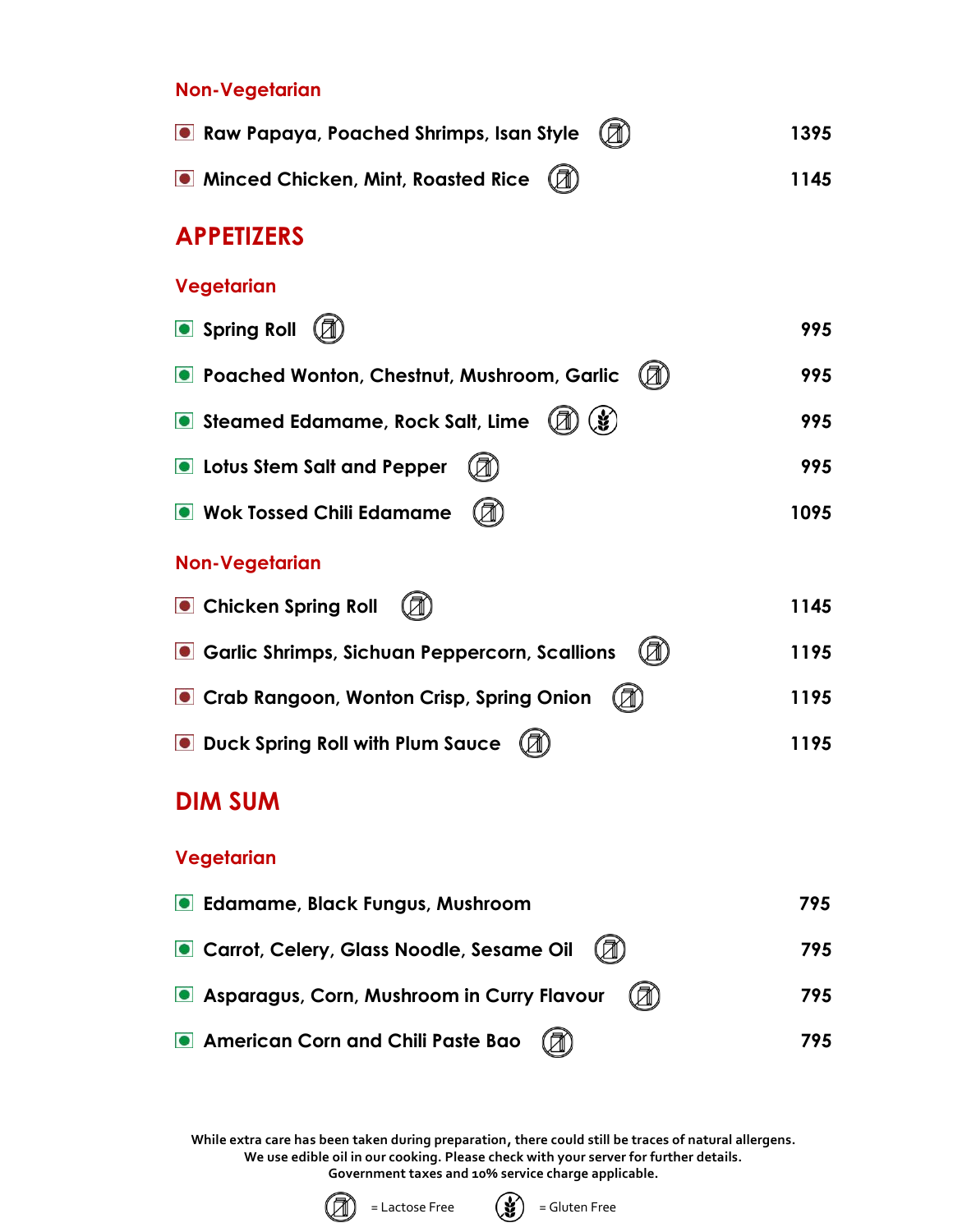#### **Non-Vegetarian**

| Raw Papaya, Poached Shrimps, Isan Style $(\mathbb{Z})$                                    | 1395 |  |
|-------------------------------------------------------------------------------------------|------|--|
| • Minced Chicken, Mint, Roasted Rice $\left(\begin{matrix} \boxed{2} \end{matrix}\right)$ | 1145 |  |

## **APPETIZERS**

#### **Vegetarian**

| Spring Roll                                         | 995  |
|-----------------------------------------------------|------|
| <b>O</b> Poached Wonton, Chestnut, Mushroom, Garlic | 995  |
| Steamed Edamame, Rock Salt, Lime<br>$\mathscr{L}$   | 995  |
| <b>O</b> Lotus Stem Salt and Pepper                 | 995  |
| <b>O</b> Wok Tossed Chili Edamame                   | 1095 |
|                                                     |      |

#### **Non-Vegetarian**

| n)<br><b>Chicken Spring Roll</b>                                                                 | 1145 |
|--------------------------------------------------------------------------------------------------|------|
| Garlic Shrimps, Sichuan Peppercorn, Scallions $\mathbb{Z}$                                       | 1195 |
| Crab Rangoon, Wonton Crisp, Spring Onion $\left(\begin{matrix} \boxed{1} \\ \end{matrix}\right)$ | 1195 |
| <b>O</b> Duck Spring Roll with Plum Sauce $(\mathbb{Z})$                                         | 1195 |

## **DIM SUM**

#### **Vegetarian**

| <b>C</b> Edamame, Black Fungus, Mushroom          | 795 |
|---------------------------------------------------|-----|
| Carrot, Celery, Glass Noodle, Sesame Oil (2)      | 795 |
| Asparagus, Corn, Mushroom in Curry Flavour<br>(A) | 795 |
| American Corn and Chili Paste Bao (7)             | 795 |



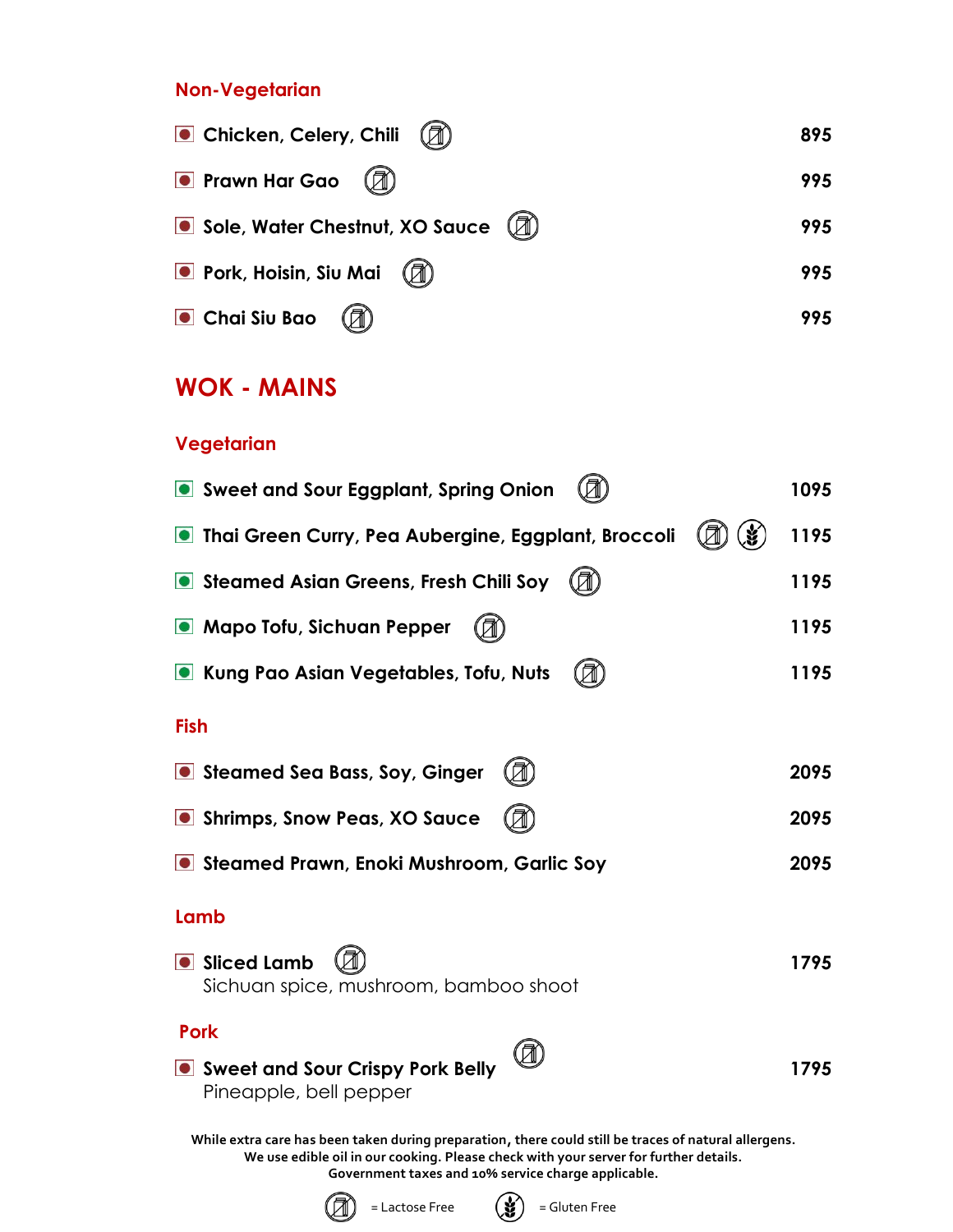#### **Non-Vegetarian**

| Chicken, Celery, Chili                | 895 |
|---------------------------------------|-----|
| <b>•</b> Prawn Har Gao                | 995 |
| (A)<br>Sole, Water Chestnut, XO Sauce | 995 |
| <b>O</b> Pork, Hoisin, Siu Mai        | 995 |
| Chai Siu Bao                          | 995 |

## **WOK - MAINS**

#### **Vegetarian**

| Sweet and Sour Eggplant, Spring Onion                                                                                                                                                         | 1095 |
|-----------------------------------------------------------------------------------------------------------------------------------------------------------------------------------------------|------|
| <b>Indi Green Curry, Pea Aubergine, Eggplant, Broccoli</b>                                                                                                                                    | 1195 |
| Steamed Asian Greens, Fresh Chili Soy                                                                                                                                                         | 1195 |
| <b>O</b> Mapo Tofu, Sichuan Pepper                                                                                                                                                            | 1195 |
| Kung Pao Asian Vegetables, Tofu, Nuts                                                                                                                                                         | 1195 |
| <b>Fish</b>                                                                                                                                                                                   |      |
| Steamed Sea Bass, Soy, Ginger                                                                                                                                                                 | 2095 |
| Shrimps, Snow Peas, XO Sauce                                                                                                                                                                  | 2095 |
| Steamed Prawn, Enoki Mushroom, Garlic Soy                                                                                                                                                     | 2095 |
| Lamb                                                                                                                                                                                          |      |
| Sliced Lamb<br>Sichuan spice, mushroom, bamboo shoot                                                                                                                                          | 1795 |
| <b>Pork</b>                                                                                                                                                                                   |      |
| • Sweet and Sour Crispy Pork Belly<br>Pineapple, bell pepper                                                                                                                                  | 1795 |
| While extra care has been taken during preparation, there could still be traces of natural allergens.<br>We use edible oil in our cooking. Please check with your server for further details. |      |

**Government taxes and 10% service charge applicable.**



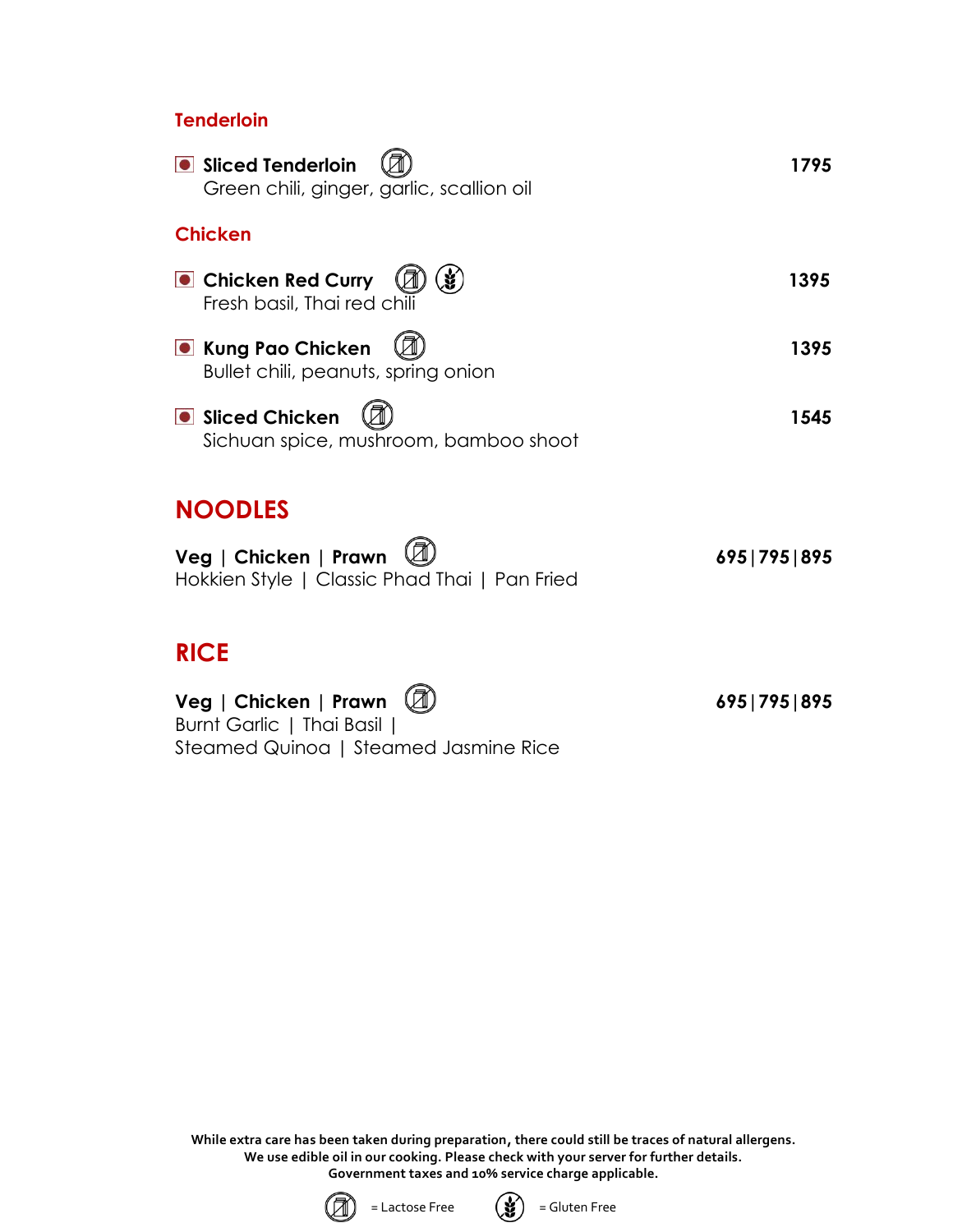#### **Tenderloin**

| Sliced Tenderloin<br>Green chili, ginger, garlic, scallion oil         | 1795            |
|------------------------------------------------------------------------|-----------------|
| <b>Chicken</b>                                                         |                 |
| <b>O</b> Chicken Red Curry<br>Fresh basil, Thai red chili              | 1395            |
| <b>O</b> Kung Pao Chicken<br>Bullet chili, peanuts, spring onion       | 1395            |
| <b>Sliced Chicken</b><br>Sichuan spice, mushroom, bamboo shoot         | 1545            |
| <b>NOODLES</b>                                                         |                 |
| Veg   Chicken   Prawn<br>Hokkien Style   Classic Phad Thai   Pan Fried | 695   795   895 |
| <b>RICE</b>                                                            |                 |
| Veg   Chicken   Prawn<br>Burnt Garlic   Thai Basil                     | 695   795   895 |

**While extra care has been taken during preparation, there could still be traces of natural allergens. We use edible oil in our cooking. Please check with your server for further details. Government taxes and 10% service charge applicable.**



Steamed Quinoa | Steamed Jasmine Rice

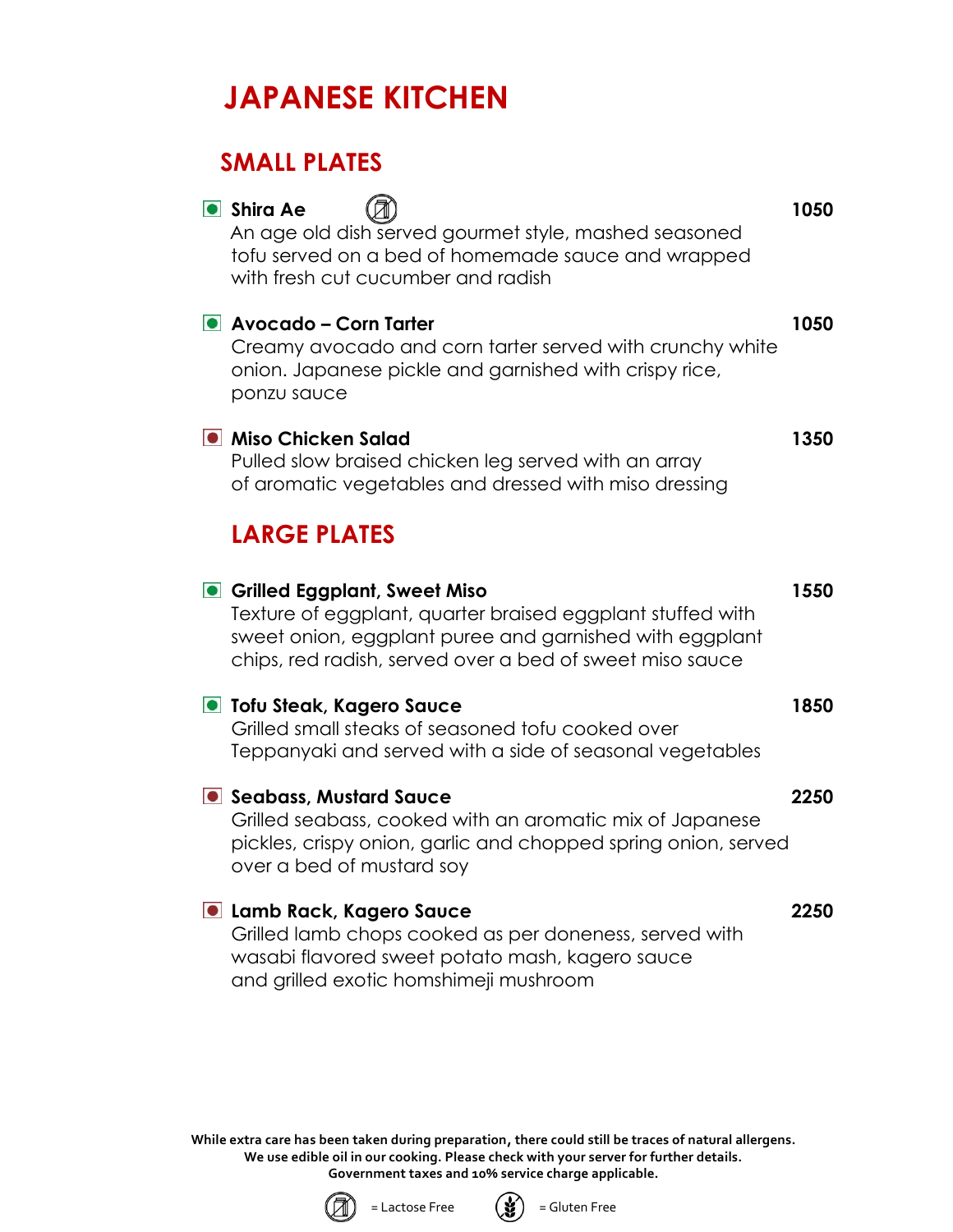# **JAPANESE KITCHEN**

## **SMALL PLATES Shira Ae 1050** An age old dish served gourmet style, mashed seasoned tofu served on a bed of homemade sauce and wrapped with fresh cut cucumber and radish **Avocado – Corn Tarter 1050** Creamy avocado and corn tarter served with crunchy white onion. Japanese pickle and garnished with crispy rice, ponzu sauce **Miso Chicken Salad 1350** Pulled slow braised chicken leg served with an array of aromatic vegetables and dressed with miso dressing **LARGE PLATES Grilled Eggplant, Sweet Miso 1550** Texture of eggplant, quarter braised eggplant stuffed with sweet onion, eggplant puree and garnished with eggplant chips, red radish, served over a bed of sweet miso sauce **Tofu Steak, Kagero Sauce 1850** Grilled small steaks of seasoned tofu cooked over Teppanyaki and served with a side of seasonal vegetables **Seabass, Mustard Sauce 2250** Grilled seabass, cooked with an aromatic mix of Japanese pickles, crispy onion, garlic and chopped spring onion, served over a bed of mustard soy **Lamb Rack, Kagero Sauce 2250** Grilled lamb chops cooked as per doneness, served with wasabi flavored sweet potato mash, kagero sauce and grilled exotic homshimeji mushroom

**While extra care has been taken during preparation, there could still be traces of natural allergens. We use edible oil in our cooking. Please check with your server for further details. Government taxes and 10% service charge applicable.**





 $=$  Lactose Free  $\left(\bigotimes_{i=1}^{N} \right) =$  Gluten Free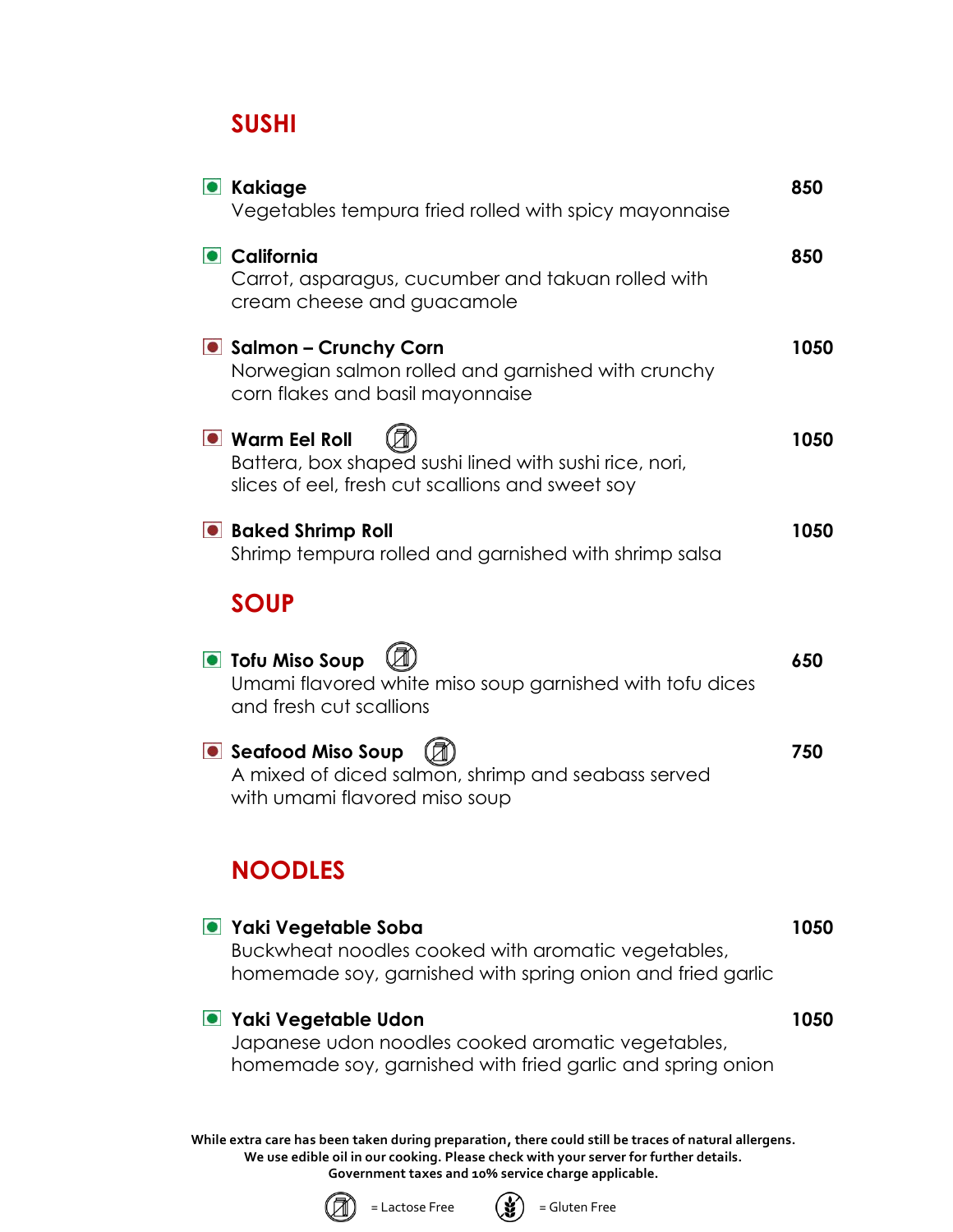### **SUSHI**

| <b>C</b> Kakiage<br>Vegetables tempura fried rolled with spicy mayonnaise                                                                       | 850  |
|-------------------------------------------------------------------------------------------------------------------------------------------------|------|
| California<br>Carrot, asparagus, cucumber and takuan rolled with<br>cream cheese and guacamole                                                  | 850  |
| Salmon – Crunchy Corn<br>Norwegian salmon rolled and garnished with crunchy<br>corn flakes and basil mayonnaise                                 | 1050 |
| <b>O</b> Warm Eel Roll<br>Battera, box shaped sushi lined with sushi rice, nori,<br>slices of eel, fresh cut scallions and sweet soy            | 1050 |
| <b>Baked Shrimp Roll</b><br>Shrimp tempura rolled and garnished with shrimp salsa                                                               | 1050 |
| <b>SOUP</b>                                                                                                                                     |      |
| <b>O</b> Tofu Miso Soup<br>Umami flavored white miso soup garnished with tofu dices<br>and fresh cut scallions                                  | 650  |
| Seafood Miso Soup<br>A mixed of diced salmon, shrimp and seabass served<br>with umami flavored miso soup                                        | 750  |
| <b>NOODLES</b>                                                                                                                                  |      |
| ■ Yaki Vegetable Soba<br>Buckwheat noodles cooked with aromatic vegetables,<br>homemade soy, garnished with spring onion and fried garlic       | 1050 |
| <b>O</b> Yaki Vegetable Udon<br>Japanese udon noodles cooked aromatic vegetables,<br>homemade soy, garnished with fried garlic and spring onion | 1050 |
| While extra care has been taken during preparation, there could still be traces of natural allergens.                                           |      |

**We use edible oil in our cooking. Please check with your server for further details. Government taxes and 10% service charge applicable.**



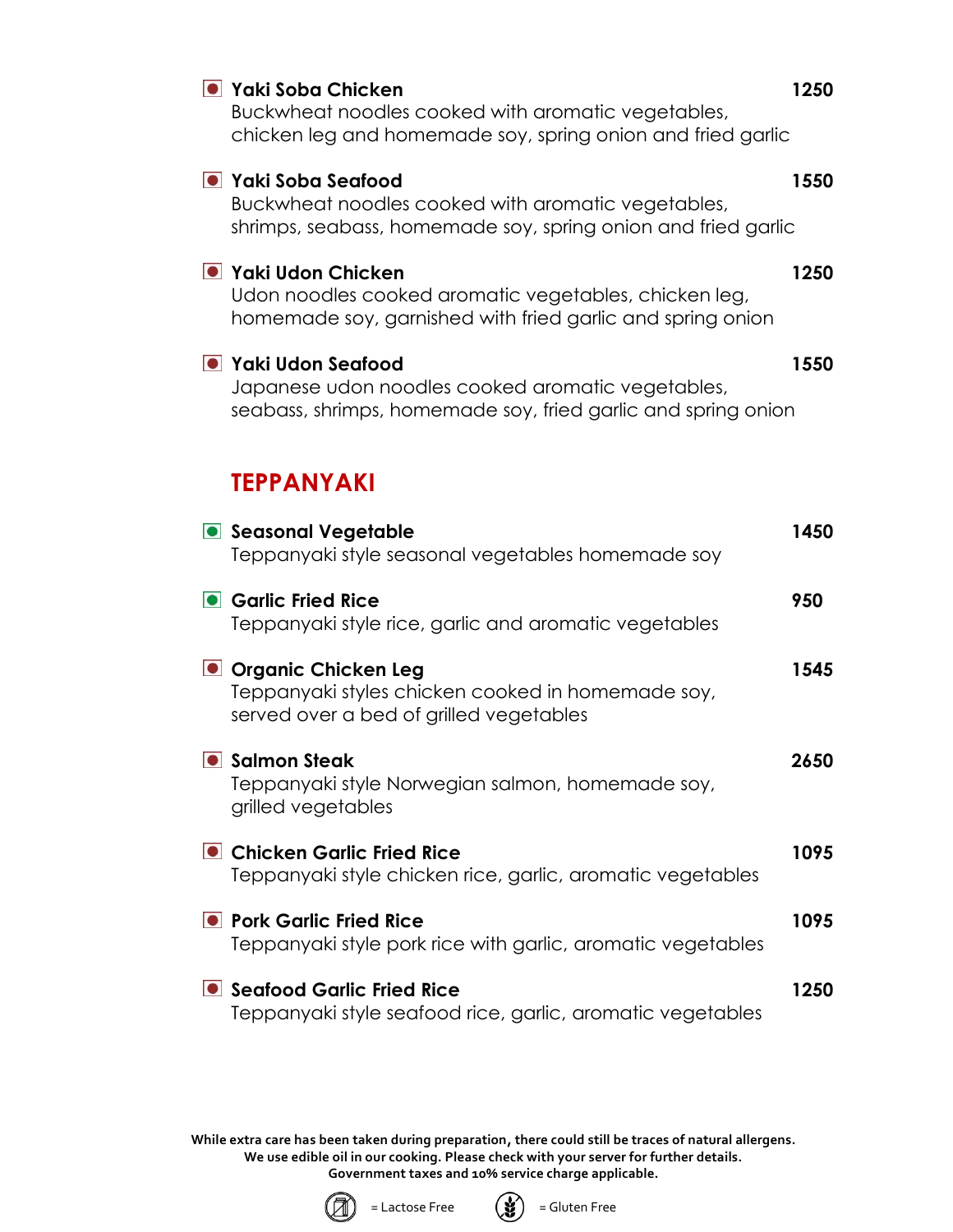| ● Yaki Soba Chicken<br>Buckwheat noodles cooked with aromatic vegetables,<br>chicken leg and homemade soy, spring onion and fried garlic   | 1250 |
|--------------------------------------------------------------------------------------------------------------------------------------------|------|
| ● Yaki Soba Seafood<br>Buckwheat noodles cooked with aromatic vegetables,<br>shrimps, seabass, homemade soy, spring onion and fried garlic | 1550 |
| ● Yaki Udon Chicken<br>Udon noodles cooked aromatic vegetables, chicken leg,<br>homemade soy, garnished with fried garlic and spring onion | 1250 |
| ● Yaki Udon Seafood<br>Japanese udon noodles cooked aromatic vegetables,<br>seabass, shrimps, homemade soy, fried garlic and spring onion  | 1550 |
| <b>TEPPANYAKI</b>                                                                                                                          |      |
| <b>Seasonal Vegetable</b><br>Teppanyaki style seasonal vegetables homemade soy                                                             | 1450 |
| • Garlic Fried Rice<br>Teppanyaki style rice, garlic and aromatic vegetables                                                               | 950  |
| Organic Chicken Leg<br>Teppanyaki styles chicken cooked in homemade soy,<br>served over a bed of grilled vegetables                        | 1545 |
| • Salmon Steak<br>Teppanyaki style Norwegian salmon, homemade soy,<br>grilled vegetables                                                   | 2650 |
| • Chicken Garlic Fried Rice<br>Teppanyaki style chicken rice, garlic, aromatic vegetables                                                  | 1095 |
| <b>• Pork Garlic Fried Rice</b><br>Teppanyaki style pork rice with garlic, aromatic vegetables                                             | 1095 |
| • Seafood Garlic Fried Rice<br>Teppanyaki style seafood rice, garlic, aromatic vegetables                                                  | 1250 |

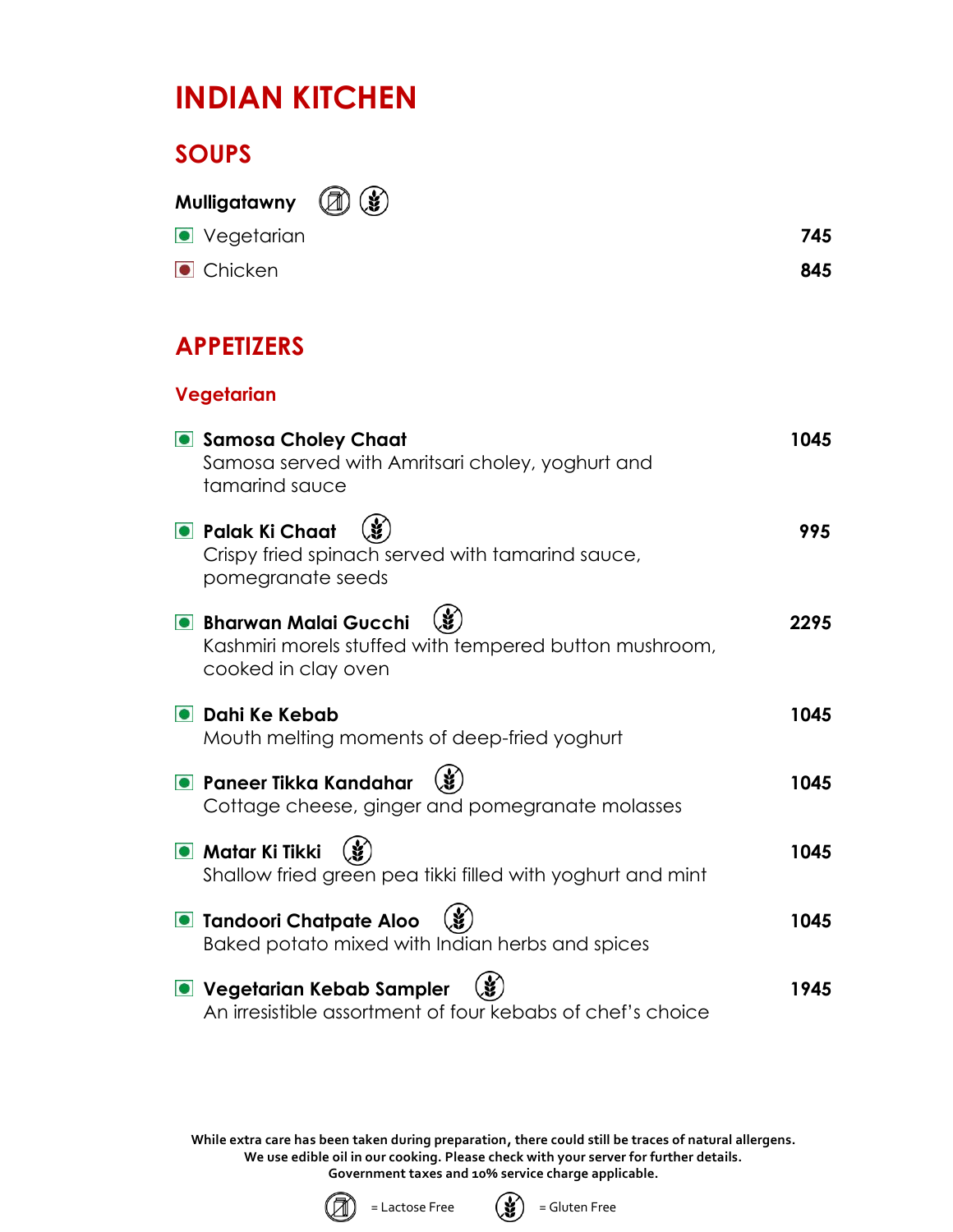## **INDIAN KITCHEN**

## **SOUPS**

**Mulligatawny**  $\mathbf{y}$ 

| <b>•</b> Vegetarian | 745 |
|---------------------|-----|
| Chicken             | 845 |

## **APPETIZERS**

**Vegetarian**

## **Samosa Choley Chaat 1045** Samosa served with Amritsari choley, yoghurt and tamarind sauce **Palak Ki Chaat (19)** (1995) Crispy fried spinach served with tamarind sauce, pomegranate seeds **Bharwan Malai Gucchi**  $(\check{\mathbf{X}})$  **Bharwan Malai Gucchi** 2295 Kashmiri morels stuffed with tempered button mushroom, cooked in clay oven **Dahi Ke Kebab 1045** Mouth melting moments of deep-fried yoghurt **Paneer Tikka Kandahar (3)** The Contract of the Manual 1045 Cottage cheese, ginger and pomegranate molasses ● Matar Ki Tikki (*w*. 2004) しかしゃ しゅうしゃ しゅうしょう しゅうしょう しゅうしょう しゅうしょう しゅうしょう しゅうしょう Shallow fried green pea tikki filled with yoghurt and mint **Tandoori Chatpate Aloo**  $(\dot{x})$  1045 Baked potato mixed with Indian herbs and spices ■ Vegetarian Kebab Sampler (*w*. 2008) 1945 An irresistible assortment of four kebabs of chef's choice



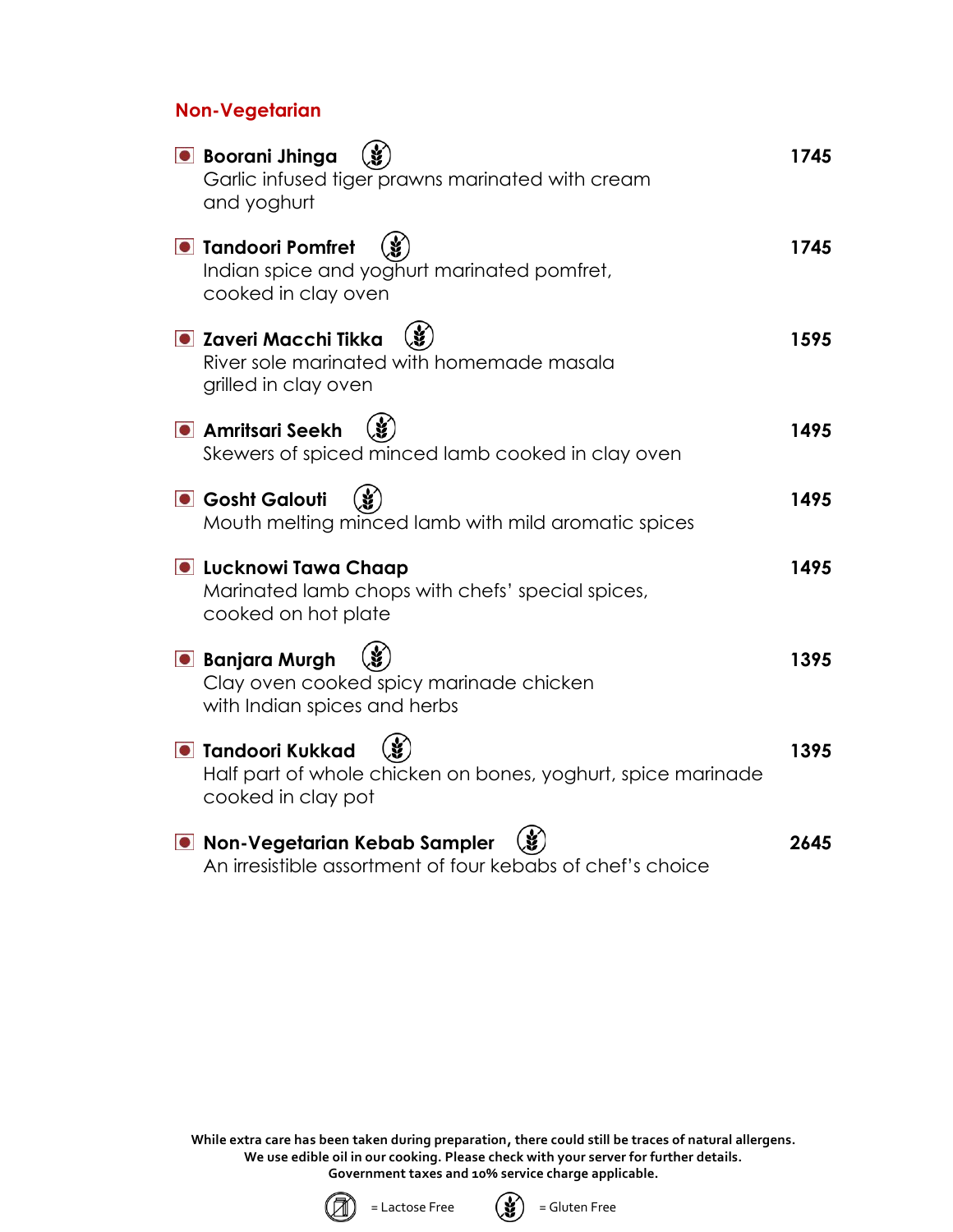#### **Non-Vegetarian**

| <b>•</b> Boorani Jhinga<br>Garlic infused tiger prawns marinated with cream<br>and yoghurt                     | 1745 |
|----------------------------------------------------------------------------------------------------------------|------|
| <b>• Tandoori Pomfret</b><br>Indian spice and yoghurt marinated pomfret,<br>cooked in clay oven                | 1745 |
| <b>O</b> Zaveri Macchi Tikka<br>River sole marinated with homemade masala<br>grilled in clay oven              | 1595 |
| <b>•</b> Amritsari Seekh<br>Skewers of spiced minced lamb cooked in clay oven                                  | 1495 |
| <b>Gosht Galouti</b><br>Mouth melting minced lamb with mild aromatic spices                                    | 1495 |
| <b>O</b> Lucknowi Tawa Chaap<br>Marinated lamb chops with chefs' special spices,<br>cooked on hot plate        | 1495 |
| <b>• Banjara Murgh</b><br>Clay oven cooked spicy marinade chicken<br>with Indian spices and herbs              | 1395 |
| <b>• Tandoori Kukkad</b><br>Half part of whole chicken on bones, yoghurt, spice marinade<br>cooked in clay pot | 1395 |
| O Non-Vegetarian Kebab Sampler<br>An irresistible assortment of four kebabs of chef's choice                   | 2645 |



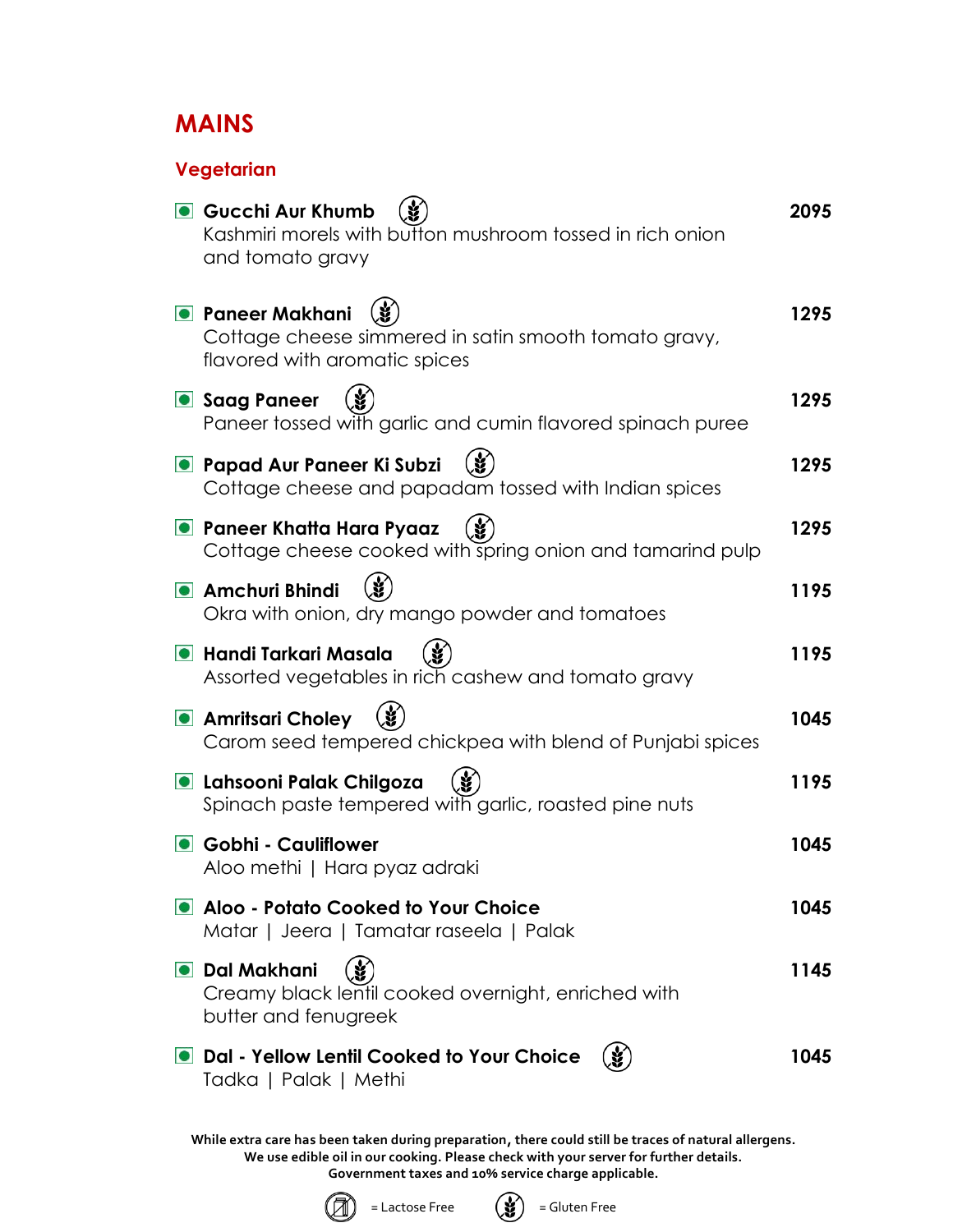## **MAINS**

#### **Vegetarian**

| <b>Gucchi Aur Khumb</b><br>Kashmiri morels with button mushroom tossed in rich onion<br>and tomato gravy          | 2095 |
|-------------------------------------------------------------------------------------------------------------------|------|
| <b>• Paneer Makhani</b><br>Cottage cheese simmered in satin smooth tomato gravy,<br>flavored with aromatic spices | 1295 |
| Saag Paneer<br>Paneer tossed with garlic and cumin flavored spinach puree                                         | 1295 |
| <b>• Papad Aur Paneer Ki Subzi</b><br>Cottage cheese and papadam tossed with Indian spices                        | 1295 |
| • Paneer Khatta Hara Pyaaz<br>Cottage cheese cooked with spring onion and tamarind pulp                           | 1295 |
| <b>•</b> Amchuri Bhindi<br>Okra with onion, dry mango powder and tomatoes                                         | 1195 |
| <b>O</b> Handi Tarkari Masala<br>Assorted vegetables in rich cashew and tomato gravy                              | 1195 |
| <b>Amritsari Choley</b><br>Carom seed tempered chickpea with blend of Punjabi spices                              | 1045 |
| <b>O</b> Lahsooni Palak Chilgoza<br>Spinach paste tempered with garlic, roasted pine nuts                         | 1195 |
| • Gobhi - Cauliflower<br>Aloo methi   Hara pyaz adraki                                                            | 1045 |
| Aloo - Potato Cooked to Your Choice<br>Matar   Jeera   Tamatar raseela   Palak                                    | 1045 |
| O Dal Makhani<br>Creamy black lentil cooked overnight, enriched with<br>butter and fenugreek                      | 1145 |
| Dal - Yellow Lentil Cooked to Your Choice<br>Tadka   Palak   Methi                                                | 1045 |



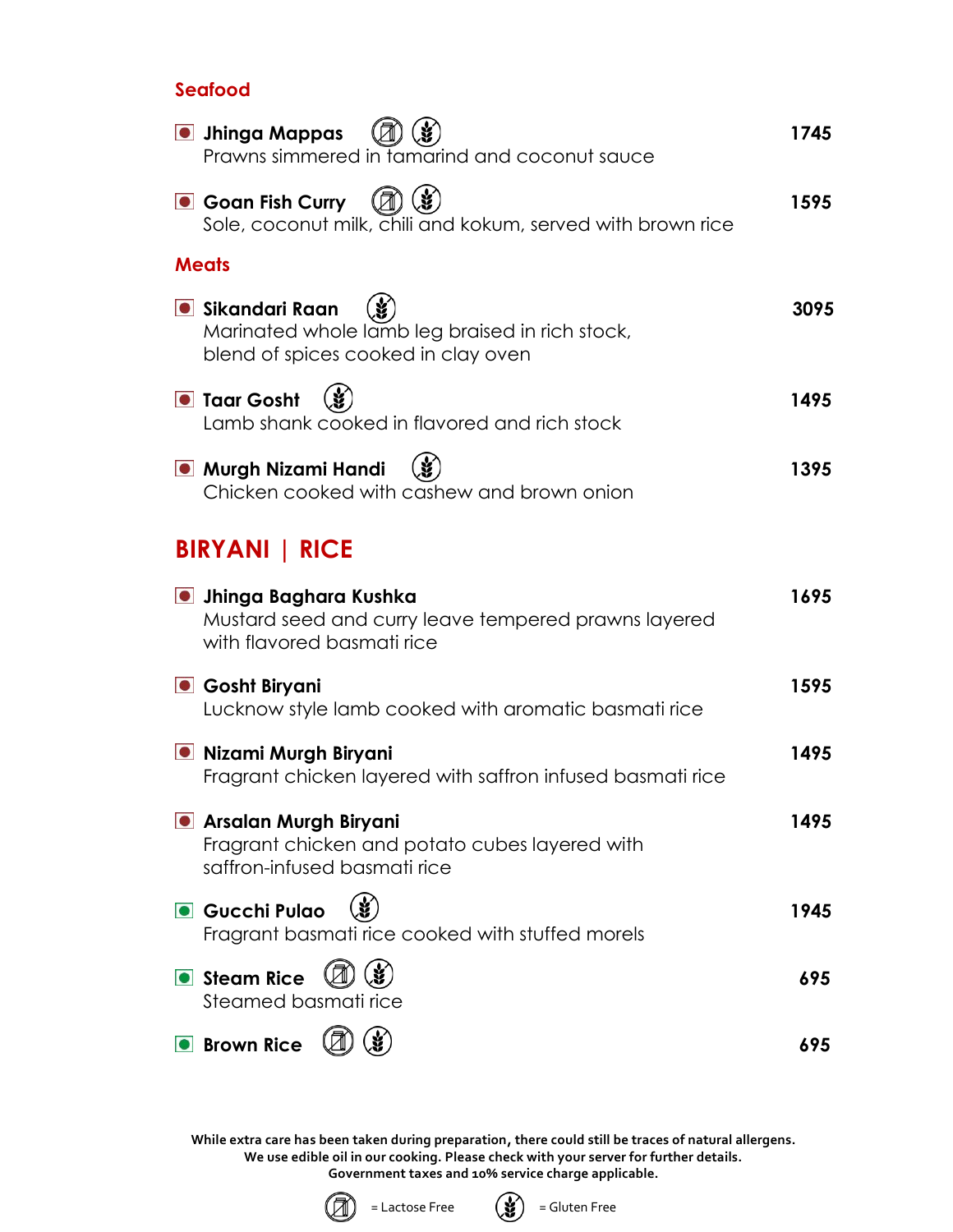#### **Seafood**

| <b>.</b> Jhinga Mappas<br>Prawns simmered in tamarind and coconut sauce                                              | 1745 |
|----------------------------------------------------------------------------------------------------------------------|------|
| <b>Goan Fish Curry</b><br>Sole, coconut milk, chili and kokum, served with brown rice                                | 1595 |
| <b>Meats</b>                                                                                                         |      |
| <b>•</b> Sikandari Raan<br>Marinated whole lamb leg braised in rich stock,<br>blend of spices cooked in clay oven    | 3095 |
| <b>O</b> Taar Gosht<br>Lamb shank cooked in flavored and rich stock                                                  | 1495 |
| <b>.</b> Murgh Nizami Handi<br>Chicken cooked with cashew and brown onion                                            | 1395 |
| <b>BIRYANI   RICE</b>                                                                                                |      |
| <b>O</b> Jhinga Baghara Kushka<br>Mustard seed and curry leave tempered prawns layered<br>with flavored basmati rice | 1695 |
| Gosht Biryani<br>Lucknow style lamb cooked with aromatic basmati rice                                                | 1595 |
| <b>.</b> Nizami Murgh Biryani<br>Fragrant chicken layered with saffron infused basmati rice                          | 1495 |
| <b>.</b> Arsalan Murgh Biryani<br>Fragrant chicken and potato cubes layered with<br>saffron-infused basmati rice     | 1495 |
| Gucchi Pulao<br>Fragrant basmati rice cooked with stuffed morels                                                     | 1945 |
| Steam Rice<br>Steamed basmati rice                                                                                   | 695  |
| <b>Brown Rice</b>                                                                                                    | 695  |



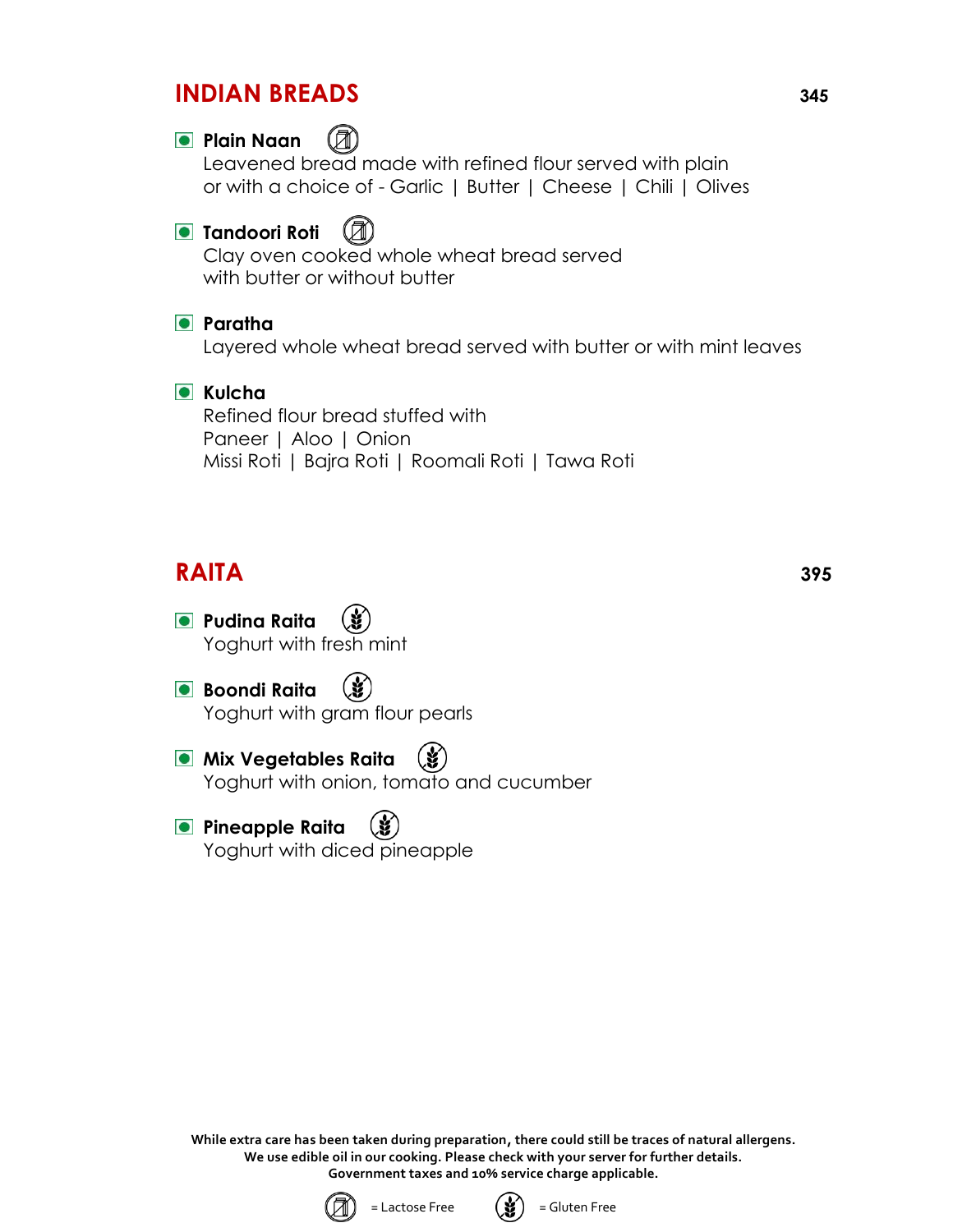### **INDIAN BREADS <sup>345</sup>**

#### **Plain Naan**

Leavened bread made with refined flour served with plain or with a choice of - Garlic | Butter | Cheese | Chili | Olives

#### **Tandoori Roti** (A)

Clay oven cooked whole wheat bread served with butter or without butter

#### **Paratha**

Layered whole wheat bread served with butter or with mint leaves

#### **C** Kulcha

Refined flour bread stuffed with Paneer | Aloo | Onion Missi Roti | Bajra Roti | Roomali Roti | Tawa Roti

## **RAITA 395**

- **Pudina Raita** Yoghurt with fresh mint
- **Boondi Raita** (Y Yoghurt with gram flour pearls
- **Mix Vegetables Raita** Yoghurt with onion, tomato and cucumber
- **Pineapple Raita** Yoghurt with diced pineapple